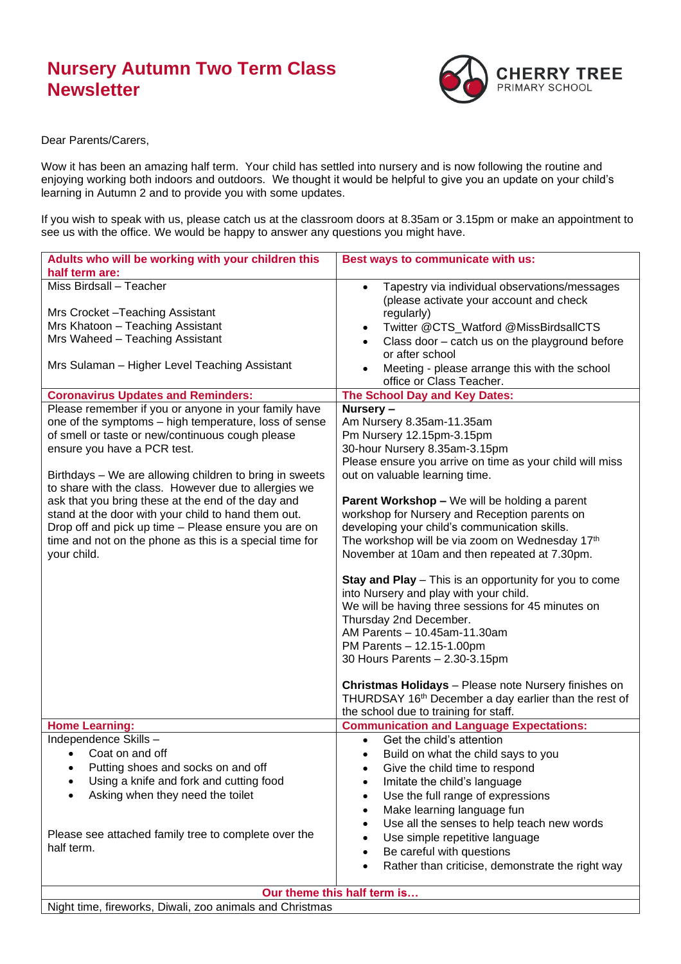## **Nursery Autumn Two Term Class Newsletter**



Dear Parents/Carers,

Wow it has been an amazing half term. Your child has settled into nursery and is now following the routine and enjoying working both indoors and outdoors. We thought it would be helpful to give you an update on your child's learning in Autumn 2 and to provide you with some updates.

If you wish to speak with us, please catch us at the classroom doors at 8.35am or 3.15pm or make an appointment to see us with the office. We would be happy to answer any questions you might have.

| Adults who will be working with your children this                                                                                                                                                                                                                                                                                                                                                                                                                                                                                                                                                                                                                                                                                                                                                   | Best ways to communicate with us:                                                                                                                                                                                                                                                                                                                                                                                                                                                                                                                                                                                                                                                                                                                                                                                                                                                                                                                                                                                                                                                                                                                                                                                                   |
|------------------------------------------------------------------------------------------------------------------------------------------------------------------------------------------------------------------------------------------------------------------------------------------------------------------------------------------------------------------------------------------------------------------------------------------------------------------------------------------------------------------------------------------------------------------------------------------------------------------------------------------------------------------------------------------------------------------------------------------------------------------------------------------------------|-------------------------------------------------------------------------------------------------------------------------------------------------------------------------------------------------------------------------------------------------------------------------------------------------------------------------------------------------------------------------------------------------------------------------------------------------------------------------------------------------------------------------------------------------------------------------------------------------------------------------------------------------------------------------------------------------------------------------------------------------------------------------------------------------------------------------------------------------------------------------------------------------------------------------------------------------------------------------------------------------------------------------------------------------------------------------------------------------------------------------------------------------------------------------------------------------------------------------------------|
| half term are:                                                                                                                                                                                                                                                                                                                                                                                                                                                                                                                                                                                                                                                                                                                                                                                       |                                                                                                                                                                                                                                                                                                                                                                                                                                                                                                                                                                                                                                                                                                                                                                                                                                                                                                                                                                                                                                                                                                                                                                                                                                     |
| Miss Birdsall - Teacher<br>Mrs Crocket-Teaching Assistant<br>Mrs Khatoon - Teaching Assistant<br>Mrs Waheed - Teaching Assistant<br>Mrs Sulaman - Higher Level Teaching Assistant<br><b>Coronavirus Updates and Reminders:</b><br>Please remember if you or anyone in your family have<br>one of the symptoms - high temperature, loss of sense<br>of smell or taste or new/continuous cough please<br>ensure you have a PCR test.<br>Birthdays - We are allowing children to bring in sweets<br>to share with the class. However due to allergies we<br>ask that you bring these at the end of the day and<br>stand at the door with your child to hand them out.<br>Drop off and pick up time - Please ensure you are on<br>time and not on the phone as this is a special time for<br>your child. | Tapestry via individual observations/messages<br>$\bullet$<br>(please activate your account and check<br>regularly)<br>Twitter @CTS_Watford @MissBirdsallCTS<br>$\bullet$<br>Class door - catch us on the playground before<br>or after school<br>Meeting - please arrange this with the school<br>office or Class Teacher.<br>The School Day and Key Dates:<br>Nursery-<br>Am Nursery 8.35am-11.35am<br>Pm Nursery 12.15pm-3.15pm<br>30-hour Nursery 8.35am-3.15pm<br>Please ensure you arrive on time as your child will miss<br>out on valuable learning time.<br><b>Parent Workshop - We will be holding a parent</b><br>workshop for Nursery and Reception parents on<br>developing your child's communication skills.<br>The workshop will be via zoom on Wednesday 17th<br>November at 10am and then repeated at 7.30pm.<br>Stay and Play - This is an opportunity for you to come<br>into Nursery and play with your child.<br>We will be having three sessions for 45 minutes on<br>Thursday 2nd December.<br>AM Parents - 10.45am-11.30am<br>PM Parents - 12.15-1.00pm<br>30 Hours Parents - 2.30-3.15pm<br>Christmas Holidays - Please note Nursery finishes on<br>THURDSAY 16th December a day earlier than the rest of |
|                                                                                                                                                                                                                                                                                                                                                                                                                                                                                                                                                                                                                                                                                                                                                                                                      | the school due to training for staff.                                                                                                                                                                                                                                                                                                                                                                                                                                                                                                                                                                                                                                                                                                                                                                                                                                                                                                                                                                                                                                                                                                                                                                                               |
| <b>Home Learning:</b>                                                                                                                                                                                                                                                                                                                                                                                                                                                                                                                                                                                                                                                                                                                                                                                | <b>Communication and Language Expectations:</b>                                                                                                                                                                                                                                                                                                                                                                                                                                                                                                                                                                                                                                                                                                                                                                                                                                                                                                                                                                                                                                                                                                                                                                                     |
| Independence Skills-                                                                                                                                                                                                                                                                                                                                                                                                                                                                                                                                                                                                                                                                                                                                                                                 | Get the child's attention<br>$\bullet$                                                                                                                                                                                                                                                                                                                                                                                                                                                                                                                                                                                                                                                                                                                                                                                                                                                                                                                                                                                                                                                                                                                                                                                              |
| Coat on and off                                                                                                                                                                                                                                                                                                                                                                                                                                                                                                                                                                                                                                                                                                                                                                                      | Build on what the child says to you<br>$\bullet$                                                                                                                                                                                                                                                                                                                                                                                                                                                                                                                                                                                                                                                                                                                                                                                                                                                                                                                                                                                                                                                                                                                                                                                    |
| Putting shoes and socks on and off                                                                                                                                                                                                                                                                                                                                                                                                                                                                                                                                                                                                                                                                                                                                                                   | Give the child time to respond                                                                                                                                                                                                                                                                                                                                                                                                                                                                                                                                                                                                                                                                                                                                                                                                                                                                                                                                                                                                                                                                                                                                                                                                      |
| Using a knife and fork and cutting food                                                                                                                                                                                                                                                                                                                                                                                                                                                                                                                                                                                                                                                                                                                                                              | Imitate the child's language                                                                                                                                                                                                                                                                                                                                                                                                                                                                                                                                                                                                                                                                                                                                                                                                                                                                                                                                                                                                                                                                                                                                                                                                        |
| Asking when they need the toilet                                                                                                                                                                                                                                                                                                                                                                                                                                                                                                                                                                                                                                                                                                                                                                     | Use the full range of expressions<br>$\bullet$                                                                                                                                                                                                                                                                                                                                                                                                                                                                                                                                                                                                                                                                                                                                                                                                                                                                                                                                                                                                                                                                                                                                                                                      |
|                                                                                                                                                                                                                                                                                                                                                                                                                                                                                                                                                                                                                                                                                                                                                                                                      | Make learning language fun<br>٠                                                                                                                                                                                                                                                                                                                                                                                                                                                                                                                                                                                                                                                                                                                                                                                                                                                                                                                                                                                                                                                                                                                                                                                                     |
|                                                                                                                                                                                                                                                                                                                                                                                                                                                                                                                                                                                                                                                                                                                                                                                                      | Use all the senses to help teach new words                                                                                                                                                                                                                                                                                                                                                                                                                                                                                                                                                                                                                                                                                                                                                                                                                                                                                                                                                                                                                                                                                                                                                                                          |
| Please see attached family tree to complete over the                                                                                                                                                                                                                                                                                                                                                                                                                                                                                                                                                                                                                                                                                                                                                 |                                                                                                                                                                                                                                                                                                                                                                                                                                                                                                                                                                                                                                                                                                                                                                                                                                                                                                                                                                                                                                                                                                                                                                                                                                     |
| half term.                                                                                                                                                                                                                                                                                                                                                                                                                                                                                                                                                                                                                                                                                                                                                                                           | Use simple repetitive language                                                                                                                                                                                                                                                                                                                                                                                                                                                                                                                                                                                                                                                                                                                                                                                                                                                                                                                                                                                                                                                                                                                                                                                                      |
|                                                                                                                                                                                                                                                                                                                                                                                                                                                                                                                                                                                                                                                                                                                                                                                                      | Be careful with questions<br>٠                                                                                                                                                                                                                                                                                                                                                                                                                                                                                                                                                                                                                                                                                                                                                                                                                                                                                                                                                                                                                                                                                                                                                                                                      |
|                                                                                                                                                                                                                                                                                                                                                                                                                                                                                                                                                                                                                                                                                                                                                                                                      | Rather than criticise, demonstrate the right way<br>$\bullet$                                                                                                                                                                                                                                                                                                                                                                                                                                                                                                                                                                                                                                                                                                                                                                                                                                                                                                                                                                                                                                                                                                                                                                       |
| Our theme this half term is                                                                                                                                                                                                                                                                                                                                                                                                                                                                                                                                                                                                                                                                                                                                                                          |                                                                                                                                                                                                                                                                                                                                                                                                                                                                                                                                                                                                                                                                                                                                                                                                                                                                                                                                                                                                                                                                                                                                                                                                                                     |
| Night time, fireworks, Diwali, zoo animals and Christmas                                                                                                                                                                                                                                                                                                                                                                                                                                                                                                                                                                                                                                                                                                                                             |                                                                                                                                                                                                                                                                                                                                                                                                                                                                                                                                                                                                                                                                                                                                                                                                                                                                                                                                                                                                                                                                                                                                                                                                                                     |